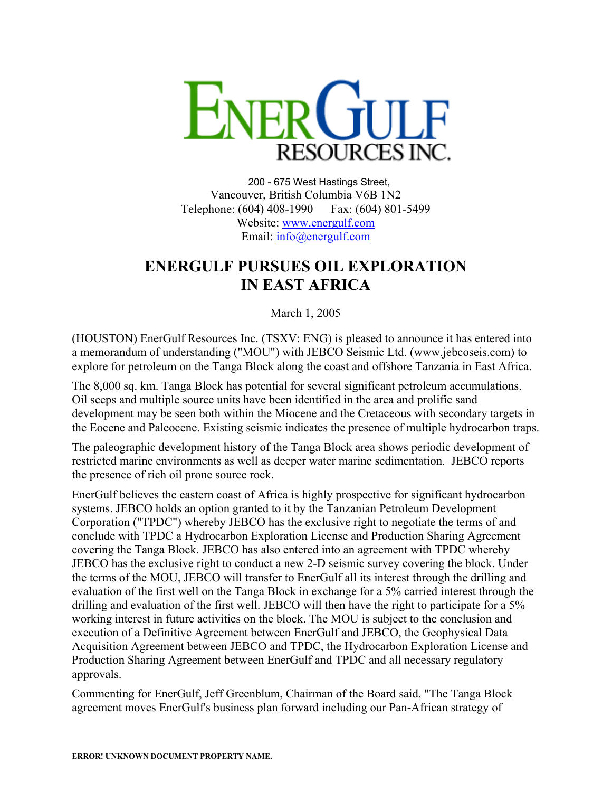

200 - 675 West Hastings Street, Vancouver, British Columbia V6B 1N2 Telephone: (604) 408-1990 Fax: (604) 801-5499 Website: [www.energulf.com](http://www.energulf.com/) Email: [info@energulf.com](mailto:info@energulf.com)

## **ENERGULF PURSUES OIL EXPLORATION IN EAST AFRICA**

March 1, 2005

(HOUSTON) EnerGulf Resources Inc. (TSXV: ENG) is pleased to announce it has entered into a memorandum of understanding ("MOU") with JEBCO Seismic Ltd. (www.jebcoseis.com) to explore for petroleum on the Tanga Block along the coast and offshore Tanzania in East Africa.

The 8,000 sq. km. Tanga Block has potential for several significant petroleum accumulations. Oil seeps and multiple source units have been identified in the area and prolific sand development may be seen both within the Miocene and the Cretaceous with secondary targets in the Eocene and Paleocene. Existing seismic indicates the presence of multiple hydrocarbon traps.

The paleographic development history of the Tanga Block area shows periodic development of restricted marine environments as well as deeper water marine sedimentation. JEBCO reports the presence of rich oil prone source rock.

EnerGulf believes the eastern coast of Africa is highly prospective for significant hydrocarbon systems. JEBCO holds an option granted to it by the Tanzanian Petroleum Development Corporation ("TPDC") whereby JEBCO has the exclusive right to negotiate the terms of and conclude with TPDC a Hydrocarbon Exploration License and Production Sharing Agreement covering the Tanga Block. JEBCO has also entered into an agreement with TPDC whereby JEBCO has the exclusive right to conduct a new 2-D seismic survey covering the block. Under the terms of the MOU, JEBCO will transfer to EnerGulf all its interest through the drilling and evaluation of the first well on the Tanga Block in exchange for a 5% carried interest through the drilling and evaluation of the first well. JEBCO will then have the right to participate for a 5% working interest in future activities on the block. The MOU is subject to the conclusion and execution of a Definitive Agreement between EnerGulf and JEBCO, the Geophysical Data Acquisition Agreement between JEBCO and TPDC, the Hydrocarbon Exploration License and Production Sharing Agreement between EnerGulf and TPDC and all necessary regulatory approvals.

Commenting for EnerGulf, Jeff Greenblum, Chairman of the Board said, "The Tanga Block agreement moves EnerGulf's business plan forward including our Pan-African strategy of